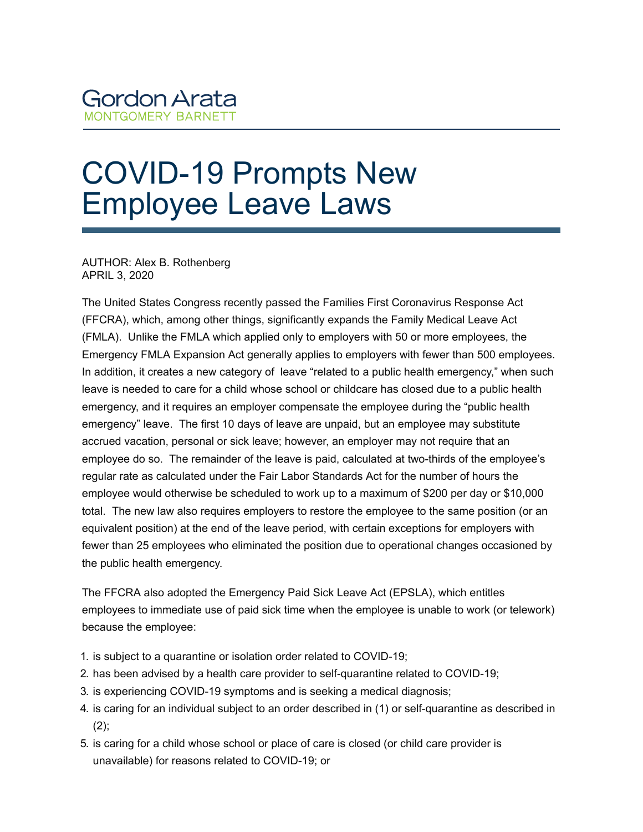## COVID-19 Prompts New Employee Leave Laws

AUTHOR: Alex B. Rothenberg APRIL 3, 2020

The United States Congress recently passed the Families First Coronavirus Response Act (FFCRA), which, among other things, significantly expands the Family Medical Leave Act (FMLA). Unlike the FMLA which applied only to employers with 50 or more employees, the Emergency FMLA Expansion Act generally applies to employers with fewer than 500 employees. In addition, it creates a new category of leave "related to a public health emergency," when such leave is needed to care for a child whose school or childcare has closed due to a public health emergency, and it requires an employer compensate the employee during the "public health emergency" leave. The first 10 days of leave are unpaid, but an employee may substitute accrued vacation, personal or sick leave; however, an employer may not require that an employee do so. The remainder of the leave is paid, calculated at two-thirds of the employee's regular rate as calculated under the Fair Labor Standards Act for the number of hours the employee would otherwise be scheduled to work up to a maximum of \$200 per day or \$10,000 total. The new law also requires employers to restore the employee to the same position (or an equivalent position) at the end of the leave period, with certain exceptions for employers with fewer than 25 employees who eliminated the position due to operational changes occasioned by the public health emergency.

The FFCRA also adopted the Emergency Paid Sick Leave Act (EPSLA), which entitles employees to immediate use of paid sick time when the employee is unable to work (or telework) because the employee:

- 1. is subject to a quarantine or isolation order related to COVID-19;
- 2. has been advised by a health care provider to self-quarantine related to COVID-19;
- 3. is experiencing COVID-19 symptoms and is seeking a medical diagnosis;
- 4. is caring for an individual subject to an order described in (1) or self-quarantine as described in  $(2)$ ;
- 5. is caring for a child whose school or place of care is closed (or child care provider is unavailable) for reasons related to COVID-19; or